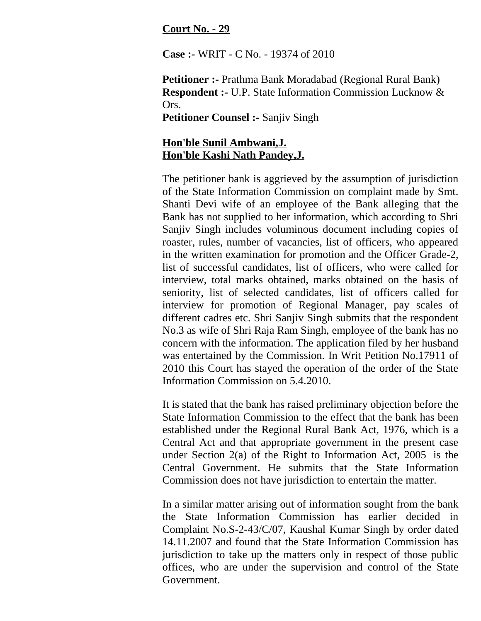## **Court No. - 29**

**Case :-** WRIT - C No. - 19374 of 2010

**Petitioner :-** Prathma Bank Moradabad (Regional Rural Bank) **Respondent :-** U.P. State Information Commission Lucknow & Ors.

**Petitioner Counsel :-** Sanjiv Singh

## **Hon'ble Sunil Ambwani,J. Hon'ble Kashi Nath Pandey,J.**

The petitioner bank is aggrieved by the assumption of jurisdiction of the State Information Commission on complaint made by Smt. Shanti Devi wife of an employee of the Bank alleging that the Bank has not supplied to her information, which according to Shri Sanjiv Singh includes voluminous document including copies of roaster, rules, number of vacancies, list of officers, who appeared in the written examination for promotion and the Officer Grade-2, list of successful candidates, list of officers, who were called for interview, total marks obtained, marks obtained on the basis of seniority, list of selected candidates, list of officers called for interview for promotion of Regional Manager, pay scales of different cadres etc. Shri Sanjiv Singh submits that the respondent No.3 as wife of Shri Raja Ram Singh, employee of the bank has no concern with the information. The application filed by her husband was entertained by the Commission. In Writ Petition No.17911 of 2010 this Court has stayed the operation of the order of the State Information Commission on 5.4.2010.

It is stated that the bank has raised preliminary objection before the State Information Commission to the effect that the bank has been established under the Regional Rural Bank Act, 1976, which is a Central Act and that appropriate government in the present case under Section 2(a) of the Right to Information Act, 2005 is the Central Government. He submits that the State Information Commission does not have jurisdiction to entertain the matter.

In a similar matter arising out of information sought from the bank the State Information Commission has earlier decided in Complaint No.S-2-43/C/07, Kaushal Kumar Singh by order dated 14.11.2007 and found that the State Information Commission has jurisdiction to take up the matters only in respect of those public offices, who are under the supervision and control of the State Government.